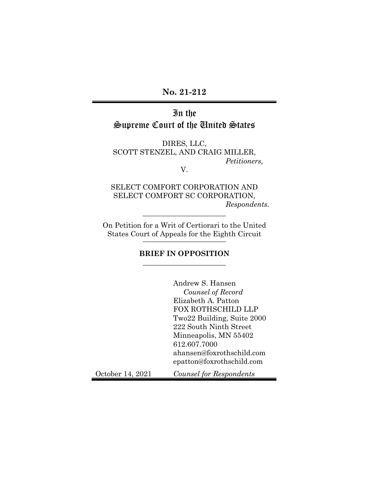# **No. 21-212**

# In the Supreme Court of the United States

DIRES, LLC, SCOTT STENZEL, AND CRAIG MILLER, *Petitioners,* 

V.

SELECT COMFORT CORPORATION AND SELECT COMFORT SC CORPORATION, *Respondents.* 

On Petition for a Writ of Certiorari to the United States Court of Appeals for the Eighth Circuit \_\_\_\_\_\_\_\_\_\_\_\_\_\_\_\_\_\_\_\_\_\_\_

 $\overline{\phantom{a}}$  , where  $\overline{\phantom{a}}$  , where  $\overline{\phantom{a}}$  , where  $\overline{\phantom{a}}$ 

## **BRIEF IN OPPOSITION**   $\overline{\phantom{a}}$  , where  $\overline{\phantom{a}}$  , where  $\overline{\phantom{a}}$  , where  $\overline{\phantom{a}}$

|                  | Andrew S. Hansen                                       |
|------------------|--------------------------------------------------------|
|                  | Counsel of Record                                      |
|                  | Elizabeth A. Patton                                    |
|                  | <b>FOX ROTHSCHILD LLP</b>                              |
|                  | Two22 Building, Suite 2000                             |
|                  | 222 South Ninth Street                                 |
|                  | Minneapolis, MN 55402                                  |
|                  | 612.607.7000                                           |
|                  | ahansen@foxrothschild.com<br>epatton@foxrothschild.com |
| October 14, 2021 | Counsel for Respondents                                |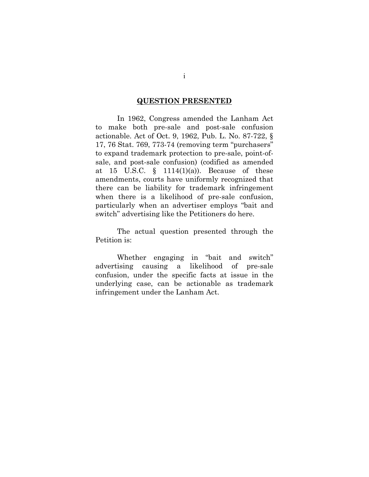#### **QUESTION PRESENTED**

In 1962, Congress amended the Lanham Act to make both pre-sale and post-sale confusion actionable. Act of Oct. 9, 1962, Pub. L. No. 87-722, § 17, 76 Stat. 769, 773-74 (removing term "purchasers" to expand trademark protection to pre-sale, point-ofsale, and post-sale confusion) (codified as amended at 15 U.S.C.  $\S$  1114(1)(a)). Because of these amendments, courts have uniformly recognized that there can be liability for trademark infringement when there is a likelihood of pre-sale confusion, particularly when an advertiser employs "bait and switch" advertising like the Petitioners do here.

The actual question presented through the Petition is:

Whether engaging in "bait and switch" advertising causing a likelihood of pre-sale confusion, under the specific facts at issue in the underlying case, can be actionable as trademark infringement under the Lanham Act.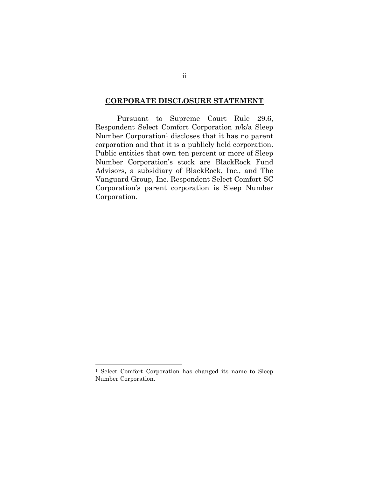## **CORPORATE DISCLOSURE STATEMENT**

Pursuant to Supreme Court Rule 29.6, Respondent Select Comfort Corporation n/k/a Sleep Number Corporation<sup>1</sup> discloses that it has no parent corporation and that it is a publicly held corporation. Public entities that own ten percent or more of Sleep Number Corporation's stock are BlackRock Fund Advisors, a subsidiary of BlackRock, Inc., and The Vanguard Group, Inc. Respondent Select Comfort SC Corporation's parent corporation is Sleep Number Corporation.

<sup>1</sup> Select Comfort Corporation has changed its name to Sleep Number Corporation.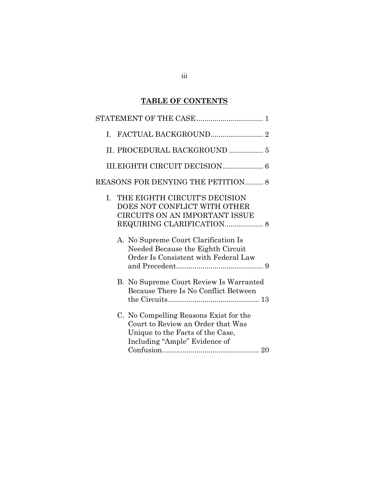# **TABLE OF CONTENTS**

| L. |                                                                                                                                                  |
|----|--------------------------------------------------------------------------------------------------------------------------------------------------|
|    | II. PROCEDURAL BACKGROUND  5                                                                                                                     |
|    |                                                                                                                                                  |
|    | REASONS FOR DENYING THE PETITION 8                                                                                                               |
| L. | THE EIGHTH CIRCUIT'S DECISION<br>DOES NOT CONFLICT WITH OTHER<br>CIRCUITS ON AN IMPORTANT ISSUE                                                  |
|    | A. No Supreme Court Clarification Is<br>Needed Because the Eighth Circuit<br>Order Is Consistent with Federal Law                                |
|    | B. No Supreme Court Review Is Warranted<br>Because There Is No Conflict Between                                                                  |
|    | C. No Compelling Reasons Exist for the<br>Court to Review an Order that Was<br>Unique to the Facts of the Case,<br>Including "Ample" Evidence of |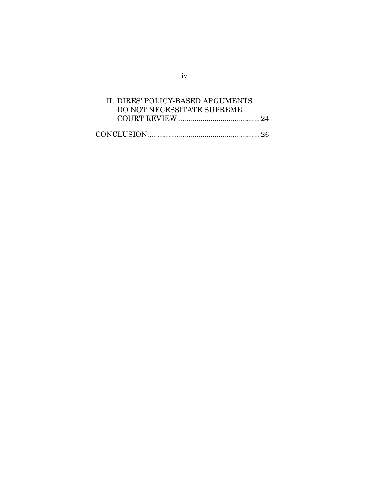| II. DIRES' POLICY-BASED ARGUMENTS |  |
|-----------------------------------|--|
| DO NOT NECESSITATE SUPREME        |  |
|                                   |  |
|                                   |  |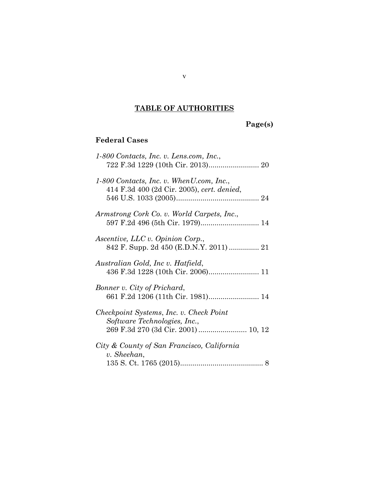# **TABLE OF AUTHORITIES**

# **Page(s)**

# **Federal Cases**

| 1-800 Contacts, Inc. v. Lens.com, Inc.,                                                   |
|-------------------------------------------------------------------------------------------|
| $1-800$ Contacts, Inc. v. When U.com, Inc.,<br>414 F.3d 400 (2d Cir. 2005), cert. denied, |
| Armstrong Cork Co. v. World Carpets, Inc.,                                                |
| <i>Ascentive, LLC v. Opinion Corp.,</i>                                                   |
| Australian Gold, Inc v. Hatfield,                                                         |
| Bonner v. City of Prichard,                                                               |
| Checkpoint Systems, Inc. v. Check Point<br>Software Technologies, Inc.,                   |
| City & County of San Francisco, California<br>v. Sheehan,                                 |
|                                                                                           |

v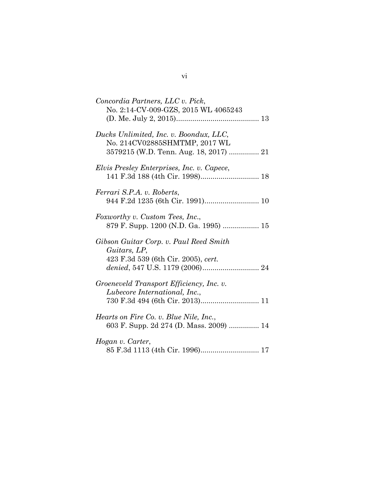| Concordia Partners, LLC v. Pick,<br>No. 2:14-CV-009-GZS, 2015 WL 4065243                                          |
|-------------------------------------------------------------------------------------------------------------------|
| Ducks Unlimited, Inc. v. Boondux, LLC,<br>No. 214CV02885SHMTMP, 2017 WL<br>3579215 (W.D. Tenn. Aug. 18, 2017)  21 |
| Elvis Presley Enterprises, Inc. v. Capece,                                                                        |
| Ferrari S.P.A. v. Roberts,                                                                                        |
| Foxworthy v. Custom Tees, Inc.,<br>879 F. Supp. 1200 (N.D. Ga. 1995)  15                                          |
| Gibson Guitar Corp. v. Paul Reed Smith<br>Guitars, LP,<br>423 F.3d 539 (6th Cir. 2005), cert.                     |
| Groeneveld Transport Efficiency, Inc. v.<br>Lubecore International, Inc.,                                         |
| <i>Hearts on Fire Co. v. Blue Nile, Inc.,</i><br>603 F. Supp. 2d 274 (D. Mass. 2009)  14                          |
| Hogan v. Carter,<br>85 F.3d 1113 (4th Cir. 1996) 17                                                               |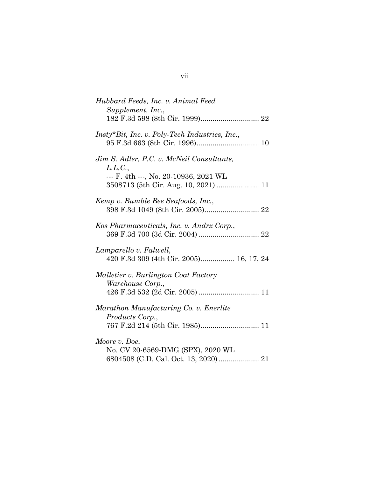| Hubbard Feeds, Inc. v. Animal Feed<br>Supplement, Inc.,                       |
|-------------------------------------------------------------------------------|
|                                                                               |
| Insty*Bit, Inc. v. Poly-Tech Industries, Inc.,                                |
| Jim S. Adler, P.C. v. McNeil Consultants,<br>L.L.C.,                          |
| --- F. 4th ---, No. 20-10936, 2021 WL<br>3508713 (5th Cir. Aug. 10, 2021)  11 |
| Kemp v. Bumble Bee Seafoods, Inc.,                                            |
| Kos Pharmaceuticals, Inc. v. Andrx Corp.,                                     |
| Lamparello v. Falwell,<br>420 F.3d 309 (4th Cir. 2005) 16, 17, 24             |
| Malletier v. Burlington Coat Factory                                          |
| Warehouse Corp.,                                                              |
| Marathon Manufacturing Co. v. Enerlite<br>Products Corp.,                     |
| 767 F.2d 214 (5th Cir. 1985) 11                                               |
| Moore v. Doe,                                                                 |
| No. CV 20-6569-DMG (SPX), 2020 WL                                             |
|                                                                               |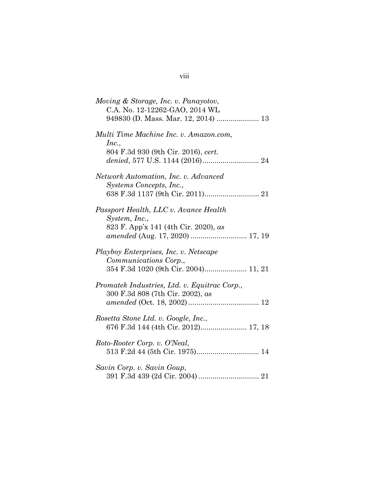| Moving & Storage, Inc. v. Panayotov,<br>C.A. No. 12-12262-GAO, 2014 WL           |
|----------------------------------------------------------------------------------|
| Multi Time Machine Inc. v. Amazon.com,                                           |
| Inc.,<br>804 F.3d 930 (9th Cir. 2016), cert.                                     |
| Network Automation, Inc. v. Advanced                                             |
| Systems Concepts, Inc.,                                                          |
| Passport Health, LLC v. Avance Health<br>System, Inc.,                           |
| 823 F. App'x 141 (4th Cir. 2020), as                                             |
| Playboy Enterprises, Inc. v. Netscape<br>Communications Corp.,                   |
| 354 F.3d 1020 (9th Cir. 2004) 11, 21                                             |
| Promatek Industries, Ltd. v. Equitrac Corp.,<br>300 F.3d 808 (7th Cir. 2002), as |
|                                                                                  |
| Rosetta Stone Ltd. v. Google, Inc.,<br>676 F.3d 144 (4th Cir. 2012) 17, 18       |
| Roto-Rooter Corp. v. O'Neal,<br>513 F.2d 44 (5th Cir. 1975) 14                   |
| Savin Corp. v. Savin Goup,                                                       |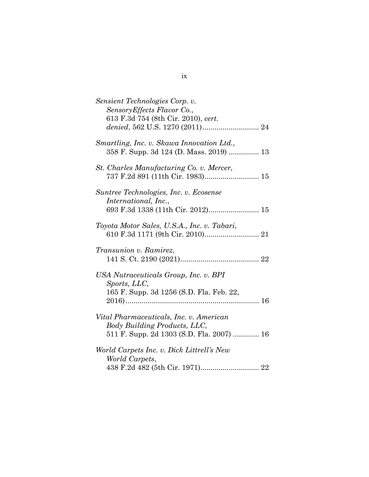| Sensient Technologies Corp. v.<br>Sensory Effects Flavor Co.,<br>613 F.3d 754 (8th Cir. 2010), cert.                 |
|----------------------------------------------------------------------------------------------------------------------|
| Smartling, Inc. v. Skawa Innovation Ltd.,<br>358 F. Supp. 3d 124 (D. Mass. 2019)  13                                 |
| St. Charles Manufacturing Co. v. Mercer,                                                                             |
| Suntree Technologies, Inc. v. Ecosense<br>International, Inc.,<br>693 F.3d 1338 (11th Cir. 2012) 15                  |
| Toyota Motor Sales, U.S.A., Inc. v. Tabari,                                                                          |
| Transunion v. Ramirez,                                                                                               |
| USA Nutraceuticals Group, Inc. v. BPI<br>Sports, LLC,<br>165 F. Supp. 3d 1256 (S.D. Fla. Feb. 22,                    |
| Vital Pharmaceuticals, Inc. v. American<br>Body Building Products, LLC,<br>511 F. Supp. 2d 1303 (S.D. Fla. 2007)  16 |
| World Carpets Inc. v. Dick Littrell's New<br>World Carpets,                                                          |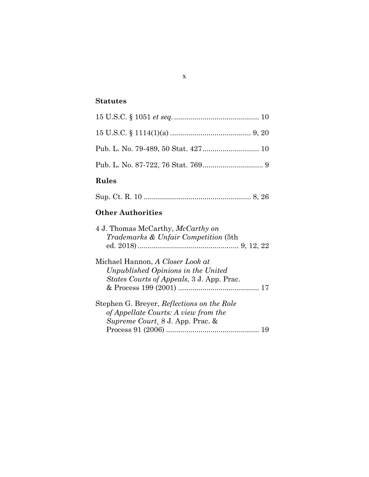# **Statutes**

# **Rules**

|--|--|--|--|

# **Other Authorities**

| 4 J. Thomas McCarthy, McCarthy on<br>Trademarks & Unfair Competition (5th                                                   |
|-----------------------------------------------------------------------------------------------------------------------------|
| Michael Hannon, A Closer Look at<br>Unpublished Opinions in the United<br><i>States Courts of Appeals</i> , 3 J. App. Prac. |
| Stephen G. Breyer, Reflections on the Role<br>of Appellate Courts: A view from the<br>Supreme Court, 8 J. App. Prac. &      |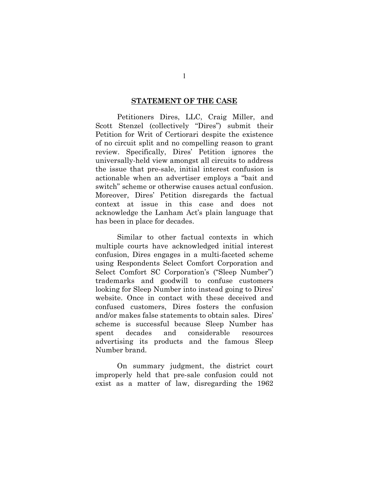#### **STATEMENT OF THE CASE**

Petitioners Dires, LLC, Craig Miller, and Scott Stenzel (collectively "Dires") submit their Petition for Writ of Certiorari despite the existence of no circuit split and no compelling reason to grant review. Specifically, Dires' Petition ignores the universally-held view amongst all circuits to address the issue that pre-sale, initial interest confusion is actionable when an advertiser employs a "bait and switch" scheme or otherwise causes actual confusion. Moreover, Dires' Petition disregards the factual context at issue in this case and does not acknowledge the Lanham Act's plain language that has been in place for decades.

Similar to other factual contexts in which multiple courts have acknowledged initial interest confusion, Dires engages in a multi-faceted scheme using Respondents Select Comfort Corporation and Select Comfort SC Corporation's ("Sleep Number") trademarks and goodwill to confuse customers looking for Sleep Number into instead going to Dires' website. Once in contact with these deceived and confused customers, Dires fosters the confusion and/or makes false statements to obtain sales. Dires' scheme is successful because Sleep Number has spent decades and considerable resources advertising its products and the famous Sleep Number brand.

On summary judgment, the district court improperly held that pre-sale confusion could not exist as a matter of law, disregarding the 1962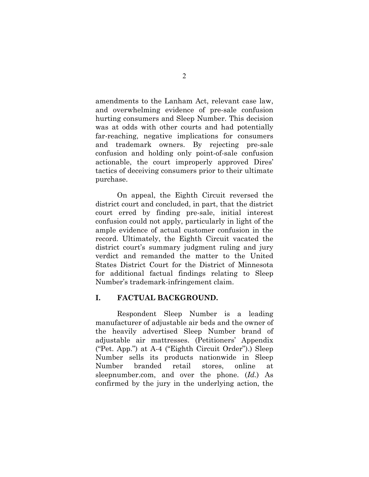amendments to the Lanham Act, relevant case law, and overwhelming evidence of pre-sale confusion hurting consumers and Sleep Number. This decision was at odds with other courts and had potentially far-reaching, negative implications for consumers and trademark owners. By rejecting pre-sale confusion and holding only point-of-sale confusion actionable, the court improperly approved Dires' tactics of deceiving consumers prior to their ultimate purchase.

On appeal, the Eighth Circuit reversed the district court and concluded, in part, that the district court erred by finding pre-sale, initial interest confusion could not apply, particularly in light of the ample evidence of actual customer confusion in the record. Ultimately, the Eighth Circuit vacated the district court's summary judgment ruling and jury verdict and remanded the matter to the United States District Court for the District of Minnesota for additional factual findings relating to Sleep Number's trademark-infringement claim.

### **I. FACTUAL BACKGROUND.**

Respondent Sleep Number is a leading manufacturer of adjustable air beds and the owner of the heavily advertised Sleep Number brand of adjustable air mattresses. (Petitioners' Appendix ("Pet. App.") at A-4 ("Eighth Circuit Order").) Sleep Number sells its products nationwide in Sleep Number branded retail stores, online at sleepnumber.com, and over the phone. (*Id.*) As confirmed by the jury in the underlying action, the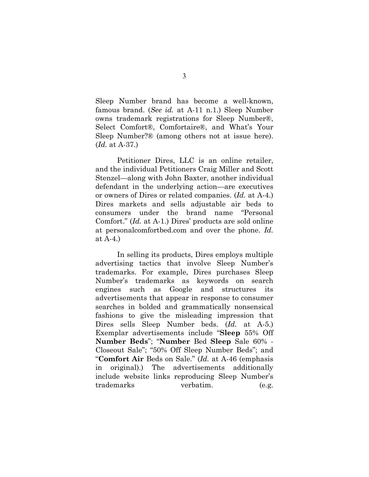Sleep Number brand has become a well-known, famous brand. (*See id.* at A-11 n.1.) Sleep Number owns trademark registrations for Sleep Number®, Select Comfort®, Comfortaire®, and What's Your Sleep Number?® (among others not at issue here). (*Id.* at A-37.)

Petitioner Dires, LLC is an online retailer, and the individual Petitioners Craig Miller and Scott Stenzel—along with John Baxter, another individual defendant in the underlying action—are executives or owners of Dires or related companies. (*Id.* at A-4.) Dires markets and sells adjustable air beds to consumers under the brand name "Personal Comfort." (*Id.* at A-1.) Dires' products are sold online at personalcomfortbed.com and over the phone. *Id.* at A-4.)

In selling its products, Dires employs multiple advertising tactics that involve Sleep Number's trademarks. For example, Dires purchases Sleep Number's trademarks as keywords on search engines such as Google and structures its advertisements that appear in response to consumer searches in bolded and grammatically nonsensical fashions to give the misleading impression that Dires sells Sleep Number beds. (*Id.* at A-5.) Exemplar advertisements include "**Sleep** 55% Off **Number Beds**"; "**Number** Bed **Sleep** Sale 60% - Closeout Sale"; "50% Off Sleep Number Beds"; and "**Comfort Air** Beds on Sale." (*Id.* at A-46 (emphasis in original).) The advertisements additionally include website links reproducing Sleep Number's trademarks verbatim. (e.g.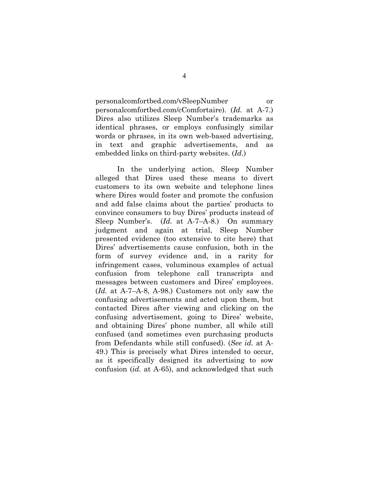personalcomfortbed.com/vSleepNumber or personalcomfortbed.com/cComfortaire). (*Id.* at A-7.) Dires also utilizes Sleep Number's trademarks as identical phrases, or employs confusingly similar words or phrases, in its own web-based advertising, in text and graphic advertisements, and as embedded links on third-party websites. (*Id.*)

In the underlying action, Sleep Number alleged that Dires used these means to divert customers to its own website and telephone lines where Dires would foster and promote the confusion and add false claims about the parties' products to convince consumers to buy Dires' products instead of Sleep Number's. (*Id.* at A-7–A-8.) On summary judgment and again at trial, Sleep Number presented evidence (too extensive to cite here) that Dires' advertisements cause confusion, both in the form of survey evidence and, in a rarity for infringement cases, voluminous examples of actual confusion from telephone call transcripts and messages between customers and Dires' employees. (*Id.* at A-7–A-8, A-98.) Customers not only saw the confusing advertisements and acted upon them, but contacted Dires after viewing and clicking on the confusing advertisement, going to Dires' website, and obtaining Dires' phone number, all while still confused (and sometimes even purchasing products from Defendants while still confused). (*See id.* at A-49.) This is precisely what Dires intended to occur, as it specifically designed its advertising to sow confusion (*id.* at A-65), and acknowledged that such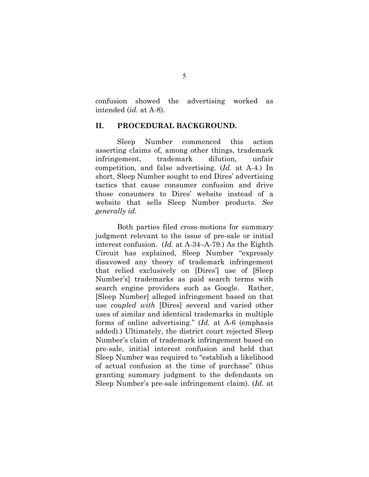confusion showed the advertising worked as intended (*id.* at A-8).

#### **II. PROCEDURAL BACKGROUND.**

Sleep Number commenced this action asserting claims of, among other things, trademark infringement, trademark dilution, unfair competition, and false advertising. (*Id.* at A-4.) In short, Sleep Number sought to end Dires' advertising tactics that cause consumer confusion and drive those consumers to Dires' website instead of a website that sells Sleep Number products. *See generally id.* 

Both parties filed cross-motions for summary judgment relevant to the issue of pre-sale or initial interest confusion. (*Id.* at A-34–A-79.) As the Eighth Circuit has explained, Sleep Number "expressly disavowed any theory of trademark infringement that relied exclusively on [Dires'] use of [Sleep Number's] trademarks as paid search terms with search engine providers such as Google. Rather, [Sleep Number] alleged infringement based on that use *coupled with* [Dires] several and varied other uses of similar and identical trademarks in multiple forms of online advertising." (*Id.* at A-6 (emphasis added).) Ultimately, the district court rejected Sleep Number's claim of trademark infringement based on pre-sale, initial interest confusion and held that Sleep Number was required to "establish a likelihood of actual confusion at the time of purchase" (thus granting summary judgment to the defendants on Sleep Number's pre-sale infringement claim). (*Id.* at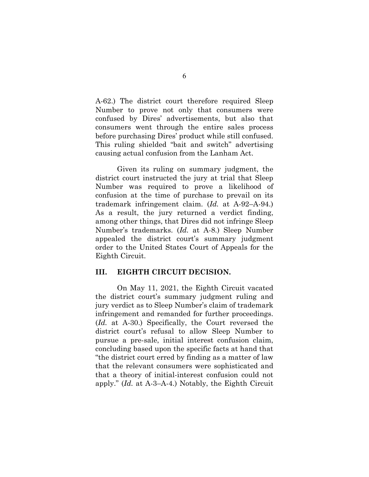A-62.) The district court therefore required Sleep Number to prove not only that consumers were confused by Dires' advertisements, but also that consumers went through the entire sales process before purchasing Dires' product while still confused. This ruling shielded "bait and switch" advertising causing actual confusion from the Lanham Act.

Given its ruling on summary judgment, the district court instructed the jury at trial that Sleep Number was required to prove a likelihood of confusion at the time of purchase to prevail on its trademark infringement claim. (*Id.* at A-92–A-94.) As a result, the jury returned a verdict finding, among other things, that Dires did not infringe Sleep Number's trademarks. (*Id.* at A-8.) Sleep Number appealed the district court's summary judgment order to the United States Court of Appeals for the Eighth Circuit.

### **III. EIGHTH CIRCUIT DECISION.**

On May 11, 2021, the Eighth Circuit vacated the district court's summary judgment ruling and jury verdict as to Sleep Number's claim of trademark infringement and remanded for further proceedings. (*Id.* at A-30.) Specifically, the Court reversed the district court's refusal to allow Sleep Number to pursue a pre-sale, initial interest confusion claim, concluding based upon the specific facts at hand that "the district court erred by finding as a matter of law that the relevant consumers were sophisticated and that a theory of initial-interest confusion could not apply." (*Id.* at A-3–A-4.) Notably, the Eighth Circuit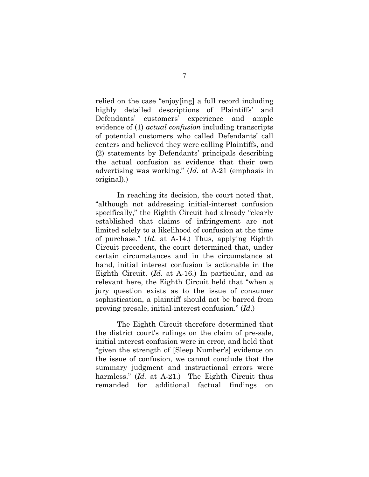relied on the case "enjoy[ing] a full record including highly detailed descriptions of Plaintiffs' and Defendants' customers' experience and ample evidence of (1) *actual confusion* including transcripts of potential customers who called Defendants' call centers and believed they were calling Plaintiffs, and (2) statements by Defendants' principals describing the actual confusion as evidence that their own advertising was working." (*Id.* at A-21 (emphasis in original).)

In reaching its decision, the court noted that, "although not addressing initial-interest confusion specifically," the Eighth Circuit had already "clearly established that claims of infringement are not limited solely to a likelihood of confusion at the time of purchase." (*Id.* at A-14.) Thus, applying Eighth Circuit precedent, the court determined that, under certain circumstances and in the circumstance at hand, initial interest confusion is actionable in the Eighth Circuit. (*Id.* at A-16.) In particular, and as relevant here, the Eighth Circuit held that "when a jury question exists as to the issue of consumer sophistication, a plaintiff should not be barred from proving presale, initial-interest confusion." (*Id*.)

The Eighth Circuit therefore determined that the district court's rulings on the claim of pre-sale, initial interest confusion were in error, and held that "given the strength of [Sleep Number's] evidence on the issue of confusion, we cannot conclude that the summary judgment and instructional errors were harmless." *(Id. at A-21.)* The Eighth Circuit thus remanded for additional factual findings on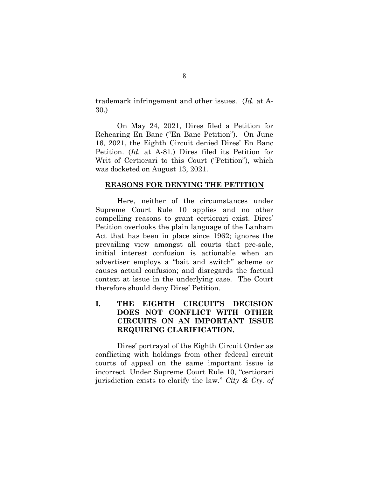trademark infringement and other issues. (*Id.* at A-30.)

On May 24, 2021, Dires filed a Petition for Rehearing En Banc ("En Banc Petition"). On June 16, 2021, the Eighth Circuit denied Dires' En Banc Petition. (*Id.* at A-81.) Dires filed its Petition for Writ of Certiorari to this Court ("Petition"), which was docketed on August 13, 2021.

#### **REASONS FOR DENYING THE PETITION**

Here, neither of the circumstances under Supreme Court Rule 10 applies and no other compelling reasons to grant certiorari exist. Dires' Petition overlooks the plain language of the Lanham Act that has been in place since 1962; ignores the prevailing view amongst all courts that pre-sale, initial interest confusion is actionable when an advertiser employs a "bait and switch" scheme or causes actual confusion; and disregards the factual context at issue in the underlying case. The Court therefore should deny Dires' Petition.

## **I. THE EIGHTH CIRCUIT'S DECISION DOES NOT CONFLICT WITH OTHER CIRCUITS ON AN IMPORTANT ISSUE REQUIRING CLARIFICATION.**

Dires' portrayal of the Eighth Circuit Order as conflicting with holdings from other federal circuit courts of appeal on the same important issue is incorrect. Under Supreme Court Rule 10, "certiorari jurisdiction exists to clarify the law." *City & Cty. of*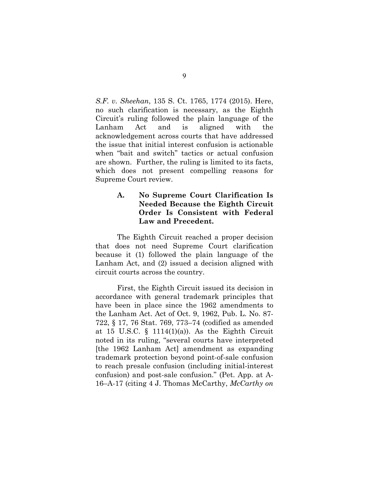*S.F. v. Sheehan*, 135 S. Ct. 1765, 1774 (2015). Here, no such clarification is necessary, as the Eighth Circuit's ruling followed the plain language of the Lanham Act and is aligned with the acknowledgement across courts that have addressed the issue that initial interest confusion is actionable when "bait and switch" tactics or actual confusion are shown. Further, the ruling is limited to its facts, which does not present compelling reasons for Supreme Court review.

## **A. No Supreme Court Clarification Is Needed Because the Eighth Circuit Order Is Consistent with Federal Law and Precedent.**

The Eighth Circuit reached a proper decision that does not need Supreme Court clarification because it (1) followed the plain language of the Lanham Act, and (2) issued a decision aligned with circuit courts across the country.

First, the Eighth Circuit issued its decision in accordance with general trademark principles that have been in place since the 1962 amendments to the Lanham Act. Act of Oct. 9, 1962, Pub. L. No. 87- 722, § 17, 76 Stat. 769, 773–74 (codified as amended at 15 U.S.C.  $\S$  1114(1)(a)). As the Eighth Circuit noted in its ruling, "several courts have interpreted [the 1962 Lanham Act] amendment as expanding trademark protection beyond point-of-sale confusion to reach presale confusion (including initial-interest confusion) and post-sale confusion." (Pet. App. at A-16–A-17 (citing 4 J. Thomas McCarthy, *McCarthy on*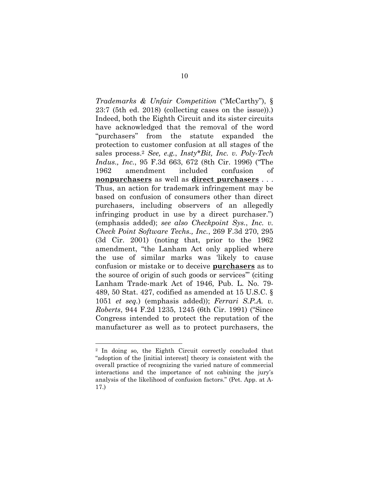*Trademarks & Unfair Competition* ("McCarthy"), § 23:7 (5th ed. 2018) (collecting cases on the issue)).) Indeed, both the Eighth Circuit and its sister circuits have acknowledged that the removal of the word "purchasers" from the statute expanded the protection to customer confusion at all stages of the sales process.2 *See, e.g.*, *Insty\*Bit, Inc. v. Poly-Tech Indus., Inc.*, 95 F.3d 663, 672 (8th Cir. 1996) ("The 1962 amendment included confusion of **nonpurchasers** as well as **direct purchasers** . . . Thus, an action for trademark infringement may be based on confusion of consumers other than direct purchasers, including observers of an allegedly infringing product in use by a direct purchaser.") (emphasis added); *see also Checkpoint Sys.*, *Inc. v. Check Point Software Techs., Inc.*, 269 F.3d 270, 295 (3d Cir. 2001) (noting that, prior to the 1962 amendment, "the Lanham Act only applied where the use of similar marks was 'likely to cause confusion or mistake or to deceive **purchasers** as to the source of origin of such goods or services'" (citing Lanham Trade-mark Act of 1946, Pub. L. No. 79- 489, 50 Stat. 427, codified as amended at 15 U.S.C. § 1051 *et seq.*) (emphasis added)); *Ferrari S.P.A. v. Roberts*, 944 F.2d 1235, 1245 (6th Cir. 1991) ("Since Congress intended to protect the reputation of the manufacturer as well as to protect purchasers, the

<sup>2</sup> In doing so, the Eighth Circuit correctly concluded that "adoption of the [initial interest] theory is consistent with the overall practice of recognizing the varied nature of commercial interactions and the importance of not cabining the jury's analysis of the likelihood of confusion factors." (Pet. App. at A-17.)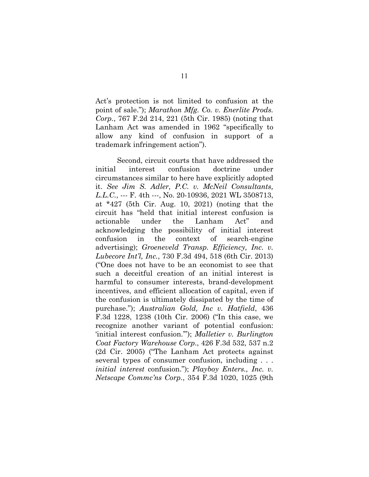Act's protection is not limited to confusion at the point of sale."); *Marathon Mfg. Co. v. Enerlite Prods. Corp.*, 767 F.2d 214, 221 (5th Cir. 1985) (noting that Lanham Act was amended in 1962 "specifically to allow any kind of confusion in support of a trademark infringement action").

Second, circuit courts that have addressed the initial interest confusion doctrine under circumstances similar to here have explicitly adopted it. *See Jim S. Adler, P.C. v. McNeil Consultants, L.L.C.*, --- F. 4th ---, No. 20-10936, 2021 WL 3508713, at \*427 (5th Cir. Aug. 10, 2021) (noting that the circuit has "held that initial interest confusion is actionable under the Lanham Act" and acknowledging the possibility of initial interest confusion in the context of search-engine advertising); *Groeneveld Transp. Efficiency, Inc. v. Lubecore Int'l, Inc.*, 730 F.3d 494, 518 (6th Cir. 2013) ("One does not have to be an economist to see that such a deceitful creation of an initial interest is harmful to consumer interests, brand-development incentives, and efficient allocation of capital, even if the confusion is ultimately dissipated by the time of purchase."); *Australian Gold, Inc v. Hatfield*, 436 F.3d 1228, 1238 (10th Cir. 2006) ("In this case, we recognize another variant of potential confusion: 'initial interest confusion.'"); *Malletier v. Burlington Coat Factory Warehouse Corp.*, 426 F.3d 532, 537 n.2 (2d Cir. 2005) ("The Lanham Act protects against several types of consumer confusion, including . . . *initial interest* confusion."); *Playboy Enters., Inc. v. Netscape Commc'ns Corp.*, 354 F.3d 1020, 1025 (9th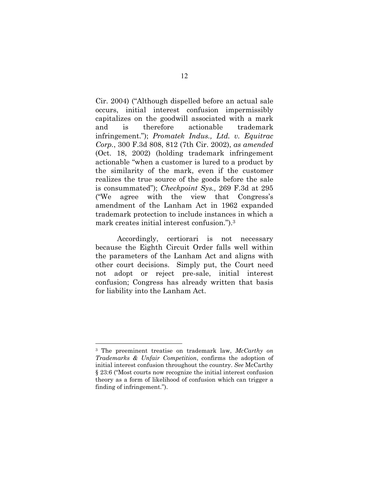Cir. 2004) ("Although dispelled before an actual sale occurs, initial interest confusion impermissibly capitalizes on the goodwill associated with a mark and is therefore actionable trademark infringement."); *Promatek Indus., Ltd. v. Equitrac Corp.*, 300 F.3d 808, 812 (7th Cir. 2002), *as amended* (Oct. 18, 2002) (holding trademark infringement actionable "when a customer is lured to a product by the similarity of the mark, even if the customer realizes the true source of the goods before the sale is consummated"); *Checkpoint Sys.,* 269 F.3d at 295 ("We agree with the view that Congress's amendment of the Lanham Act in 1962 expanded trademark protection to include instances in which a mark creates initial interest confusion.").3

Accordingly, certiorari is not necessary because the Eighth Circuit Order falls well within the parameters of the Lanham Act and aligns with other court decisions. Simply put, the Court need not adopt or reject pre-sale, initial interest confusion; Congress has already written that basis for liability into the Lanham Act.

<sup>3</sup> The preeminent treatise on trademark law, *McCarthy on Trademarks & Unfair Competition*, confirms the adoption of initial interest confusion throughout the country. *See* McCarthy § 23:6 ("Most courts now recognize the initial interest confusion theory as a form of likelihood of confusion which can trigger a finding of infringement.").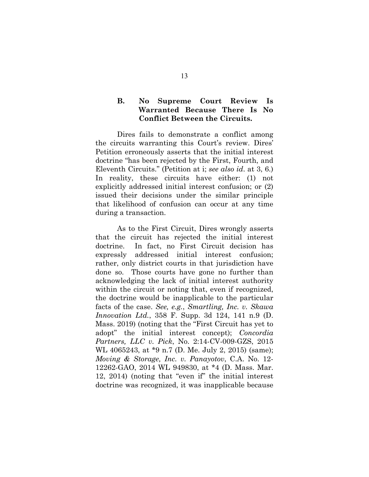## **B. No Supreme Court Review Is Warranted Because There Is No Conflict Between the Circuits.**

Dires fails to demonstrate a conflict among the circuits warranting this Court's review. Dires' Petition erroneously asserts that the initial interest doctrine "has been rejected by the First, Fourth, and Eleventh Circuits." (Petition at i; *see also id*. at 3, 6.) In reality, these circuits have either: (1) not explicitly addressed initial interest confusion; or (2) issued their decisions under the similar principle that likelihood of confusion can occur at any time during a transaction.

As to the First Circuit, Dires wrongly asserts that the circuit has rejected the initial interest doctrine. In fact, no First Circuit decision has expressly addressed initial interest confusion; rather, only district courts in that jurisdiction have done so. Those courts have gone no further than acknowledging the lack of initial interest authority within the circuit or noting that, even if recognized, the doctrine would be inapplicable to the particular facts of the case. *See, e.g.*, *Smartling, Inc. v. Skawa Innovation Ltd.*, 358 F. Supp. 3d 124, 141 n.9 (D. Mass. 2019) (noting that the "First Circuit has yet to adopt" the initial interest concept); *Concordia Partners, LLC v. Pick*, No. 2:14-CV-009-GZS, 2015 WL 4065243, at \*9 n.7 (D. Me. July 2, 2015) (same); *Moving & Storage, Inc. v. Panayotov*, C.A. No. 12- 12262-GAO, 2014 WL 949830, at \*4 (D. Mass. Mar. 12, 2014) (noting that "even if" the initial interest doctrine was recognized, it was inapplicable because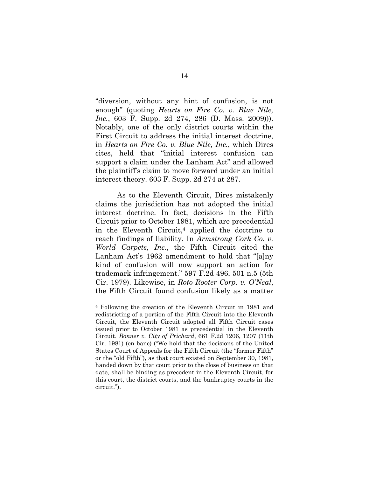"diversion, without any hint of confusion, is not enough" (quoting *Hearts on Fire Co. v. Blue Nile, Inc.*, 603 F. Supp. 2d 274, 286 (D. Mass. 2009)). Notably, one of the only district courts within the First Circuit to address the initial interest doctrine, in *Hearts on Fire Co. v. Blue Nile, Inc.*, which Dires cites, held that "initial interest confusion can support a claim under the Lanham Act" and allowed the plaintiff's claim to move forward under an initial interest theory. 603 F. Supp. 2d 274 at 287.

As to the Eleventh Circuit, Dires mistakenly claims the jurisdiction has not adopted the initial interest doctrine. In fact, decisions in the Fifth Circuit prior to October 1981, which are precedential in the Eleventh Circuit,4 applied the doctrine to reach findings of liability. In *Armstrong Cork Co. v. World Carpets, Inc*., the Fifth Circuit cited the Lanham Act's 1962 amendment to hold that "[a]ny kind of confusion will now support an action for trademark infringement." 597 F.2d 496, 501 n.5 (5th Cir. 1979). Likewise, in *Roto-Rooter Corp. v. O'Neal*, the Fifth Circuit found confusion likely as a matter

<sup>4</sup> Following the creation of the Eleventh Circuit in 1981 and redistricting of a portion of the Fifth Circuit into the Eleventh Circuit, the Eleventh Circuit adopted all Fifth Circuit cases issued prior to October 1981 as precedential in the Eleventh Circuit. *Bonner v. City of Prichard*, 661 F.2d 1206, 1207 (11th Cir. 1981) (en banc) ("We hold that the decisions of the United States Court of Appeals for the Fifth Circuit (the "former Fifth" or the "old Fifth"), as that court existed on September 30, 1981, handed down by that court prior to the close of business on that date, shall be binding as precedent in the Eleventh Circuit, for this court, the district courts, and the bankruptcy courts in the circuit.").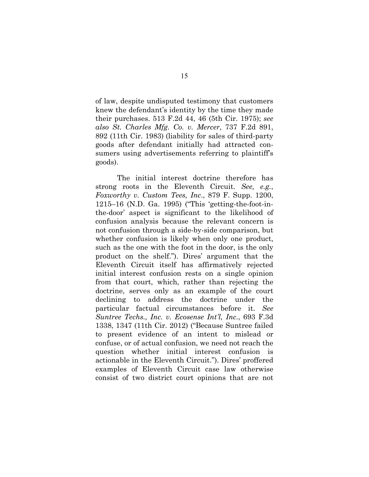of law, despite undisputed testimony that customers knew the defendant's identity by the time they made their purchases. 513 F.2d 44, 46 (5th Cir. 1975); *see also St. Charles Mfg. Co. v. Mercer*, 737 F.2d 891, 892 (11th Cir. 1983) (liability for sales of third-party goods after defendant initially had attracted consumers using advertisements referring to plaintiff's goods).

The initial interest doctrine therefore has strong roots in the Eleventh Circuit. *See, e.g.*, *Foxworthy v. Custom Tees, Inc*., 879 F. Supp. 1200, 1215–16 (N.D. Ga. 1995) ("This 'getting-the-foot-inthe-door' aspect is significant to the likelihood of confusion analysis because the relevant concern is not confusion through a side-by-side comparison, but whether confusion is likely when only one product, such as the one with the foot in the door, is the only product on the shelf."). Dires' argument that the Eleventh Circuit itself has affirmatively rejected initial interest confusion rests on a single opinion from that court, which, rather than rejecting the doctrine, serves only as an example of the court declining to address the doctrine under the particular factual circumstances before it. *See Suntree Techs., Inc. v. Ecosense Int'l, Inc.*, 693 F.3d 1338, 1347 (11th Cir. 2012) ("Because Suntree failed to present evidence of an intent to mislead or confuse, or of actual confusion, we need not reach the question whether initial interest confusion is actionable in the Eleventh Circuit."). Dires' proffered examples of Eleventh Circuit case law otherwise consist of two district court opinions that are not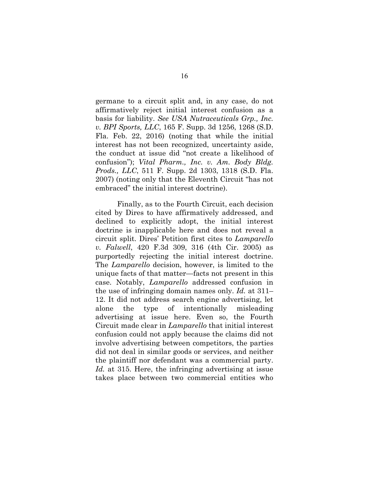germane to a circuit split and, in any case, do not affirmatively reject initial interest confusion as a basis for liability. *See USA Nutraceuticals Grp., Inc. v. BPI Sports, LLC*, 165 F. Supp. 3d 1256, 1268 (S.D. Fla. Feb. 22, 2016) (noting that while the initial interest has not been recognized, uncertainty aside, the conduct at issue did "not create a likelihood of confusion"); *Vital Pharm., Inc. v. Am. Body Bldg. Prods., LLC*, 511 F. Supp. 2d 1303, 1318 (S.D. Fla. 2007) (noting only that the Eleventh Circuit "has not embraced" the initial interest doctrine).

Finally, as to the Fourth Circuit, each decision cited by Dires to have affirmatively addressed, and declined to explicitly adopt, the initial interest doctrine is inapplicable here and does not reveal a circuit split. Dires' Petition first cites to *Lamparello v. Falwell*, 420 F.3d 309, 316 (4th Cir. 2005) as purportedly rejecting the initial interest doctrine. The *Lamparello* decision, however, is limited to the unique facts of that matter—facts not present in this case. Notably, *Lamparello* addressed confusion in the use of infringing domain names only. *Id.* at 311– 12. It did not address search engine advertising, let alone the type of intentionally misleading advertising at issue here. Even so, the Fourth Circuit made clear in *Lamparello* that initial interest confusion could not apply because the claims did not involve advertising between competitors, the parties did not deal in similar goods or services, and neither the plaintiff nor defendant was a commercial party. *Id.* at 315. Here, the infringing advertising at issue takes place between two commercial entities who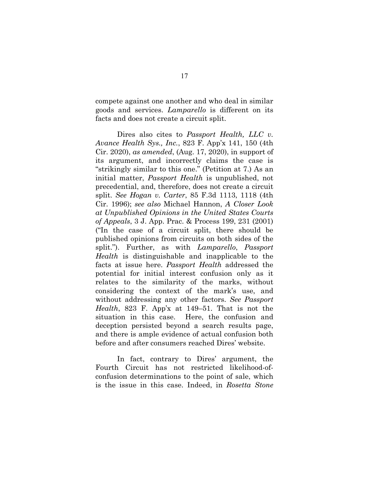compete against one another and who deal in similar goods and services. *Lamparello* is different on its facts and does not create a circuit split.

Dires also cites to *Passport Health, LLC v. Avance Health Sys., Inc.*, 823 F. App'x 141, 150 (4th Cir. 2020), *as amended*, (Aug. 17, 2020), in support of its argument, and incorrectly claims the case is "strikingly similar to this one." (Petition at 7.) As an initial matter, *Passport Health* is unpublished, not precedential, and, therefore, does not create a circuit split. *See Hogan v. Carter*, 85 F.3d 1113, 1118 (4th Cir. 1996); *see also* Michael Hannon, *A Closer Look at Unpublished Opinions in the United States Courts of Appeals*, 3 J. App. Prac. & Process 199, 231 (2001) ("In the case of a circuit split, there should be published opinions from circuits on both sides of the split."). Further, as with *Lamparello*, *Passport Health* is distinguishable and inapplicable to the facts at issue here. *Passport Health* addressed the potential for initial interest confusion only as it relates to the similarity of the marks, without considering the context of the mark's use, and without addressing any other factors. *See Passport Health*, 823 F. App'x at 149–51. That is not the situation in this case. Here, the confusion and deception persisted beyond a search results page, and there is ample evidence of actual confusion both before and after consumers reached Dires' website.

In fact, contrary to Dires' argument, the Fourth Circuit has not restricted likelihood-ofconfusion determinations to the point of sale, which is the issue in this case. Indeed, in *Rosetta Stone*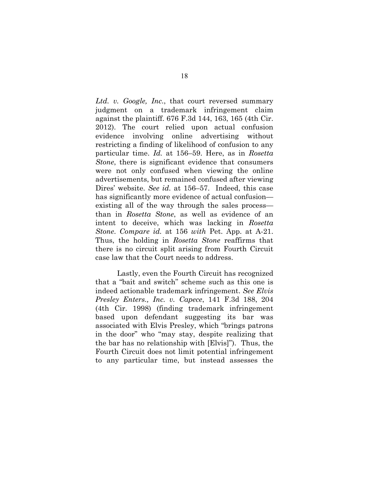*Ltd. v. Google, Inc.*, that court reversed summary judgment on a trademark infringement claim against the plaintiff. 676 F.3d 144, 163, 165 (4th Cir. 2012). The court relied upon actual confusion evidence involving online advertising without restricting a finding of likelihood of confusion to any particular time. *Id.* at 156–59. Here, as in *Rosetta Stone*, there is significant evidence that consumers were not only confused when viewing the online advertisements, but remained confused after viewing Dires' website. *See id.* at 156–57. Indeed, this case has significantly more evidence of actual confusion existing all of the way through the sales process than in *Rosetta Stone*, as well as evidence of an intent to deceive, which was lacking in *Rosetta Stone*. *Compare id.* at 156 *with* Pet. App. at A-21. Thus, the holding in *Rosetta Stone* reaffirms that there is no circuit split arising from Fourth Circuit case law that the Court needs to address.

Lastly, even the Fourth Circuit has recognized that a "bait and switch" scheme such as this one is indeed actionable trademark infringement. *See Elvis Presley Enters., Inc. v. Capece*, 141 F.3d 188, 204 (4th Cir. 1998) (finding trademark infringement based upon defendant suggesting its bar was associated with Elvis Presley, which "brings patrons in the door" who "may stay, despite realizing that the bar has no relationship with [Elvis]"). Thus, the Fourth Circuit does not limit potential infringement to any particular time, but instead assesses the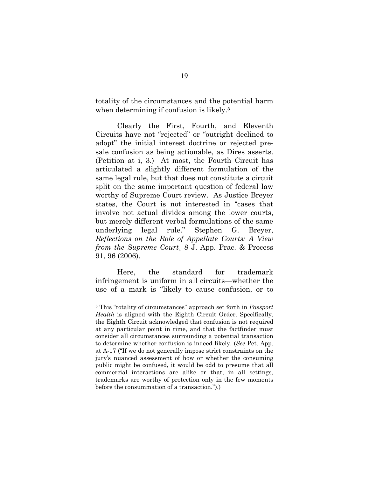totality of the circumstances and the potential harm when determining if confusion is likely.<sup>5</sup>

Clearly the First, Fourth, and Eleventh Circuits have not "rejected" or "outright declined to adopt" the initial interest doctrine or rejected presale confusion as being actionable, as Dires asserts. (Petition at i, 3.) At most, the Fourth Circuit has articulated a slightly different formulation of the same legal rule, but that does not constitute a circuit split on the same important question of federal law worthy of Supreme Court review. As Justice Breyer states, the Court is not interested in "cases that involve not actual divides among the lower courts, but merely different verbal formulations of the same underlying legal rule." Stephen G. Breyer, *Reflections on the Role of Appellate Courts: A View from the Supreme Court*¸ 8 J. App. Prac. & Process 91, 96 (2006).

Here, the standard for trademark infringement is uniform in all circuits—whether the use of a mark is "likely to cause confusion, or to

<sup>5</sup> This "totality of circumstances" approach set forth in *Passport Health* is aligned with the Eighth Circuit Order. Specifically, the Eighth Circuit acknowledged that confusion is not required at any particular point in time, and that the factfinder must consider all circumstances surrounding a potential transaction to determine whether confusion is indeed likely. (*See* Pet. App. at A-17 ("If we do not generally impose strict constraints on the jury's nuanced assessment of how or whether the consuming public might be confused, it would be odd to presume that all commercial interactions are alike or that, in all settings, trademarks are worthy of protection only in the few moments before the consummation of a transaction.").)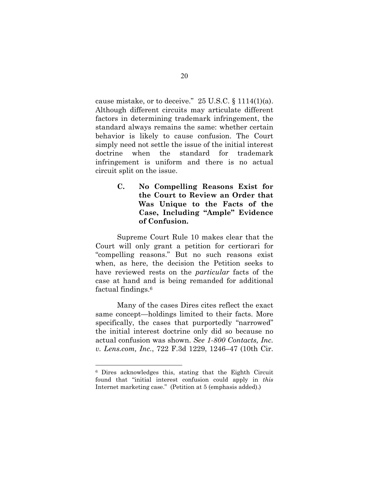cause mistake, or to deceive."  $25$  U.S.C. § 1114(1)(a). Although different circuits may articulate different factors in determining trademark infringement, the standard always remains the same: whether certain behavior is likely to cause confusion. The Court simply need not settle the issue of the initial interest doctrine when the standard for trademark infringement is uniform and there is no actual circuit split on the issue.

> **C. No Compelling Reasons Exist for the Court to Review an Order that Was Unique to the Facts of the Case, Including "Ample" Evidence of Confusion.**

Supreme Court Rule 10 makes clear that the Court will only grant a petition for certiorari for "compelling reasons." But no such reasons exist when, as here, the decision the Petition seeks to have reviewed rests on the *particular* facts of the case at hand and is being remanded for additional factual findings.6

Many of the cases Dires cites reflect the exact same concept—holdings limited to their facts. More specifically, the cases that purportedly "narrowed" the initial interest doctrine only did so because no actual confusion was shown. *See 1-800 Contacts, Inc. v. Lens.com, Inc.*, 722 F.3d 1229, 1246–47 (10th Cir.

<sup>6</sup> Dires acknowledges this, stating that the Eighth Circuit found that "initial interest confusion could apply in *this* Internet marketing case." (Petition at 5 (emphasis added).)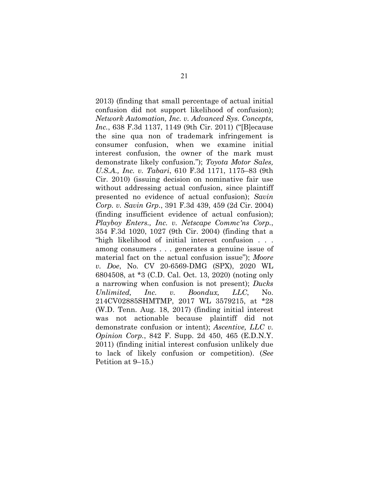2013) (finding that small percentage of actual initial confusion did not support likelihood of confusion); *Network Automation, Inc. v. Advanced Sys. Concepts, Inc.*, 638 F.3d 1137, 1149 (9th Cir. 2011) ("[B]ecause the sine qua non of trademark infringement is consumer confusion, when we examine initial interest confusion, the owner of the mark must demonstrate likely confusion."); *Toyota Motor Sales, U.S.A., Inc. v. Tabari*, 610 F.3d 1171, 1175–83 (9th Cir. 2010) (issuing decision on nominative fair use without addressing actual confusion, since plaintiff presented no evidence of actual confusion); *Savin Corp. v. Savin Grp.*, 391 F.3d 439, 459 (2d Cir. 2004) (finding insufficient evidence of actual confusion); *Playboy Enters., Inc. v. Netscape Commc'ns Corp.*, 354 F.3d 1020, 1027 (9th Cir. 2004) (finding that a "high likelihood of initial interest confusion . . . among consumers . . . generates a genuine issue of material fact on the actual confusion issue"); *Moore v. Doe*, No. CV 20-6569-DMG (SPX), 2020 WL 6804508, at \*3 (C.D. Cal. Oct. 13, 2020) (noting only a narrowing when confusion is not present); *Ducks Unlimited, Inc. v. Boondux, LLC*, No. 214CV02885SHMTMP, 2017 WL 3579215, at \*28 (W.D. Tenn. Aug. 18, 2017) (finding initial interest was not actionable because plaintiff did not demonstrate confusion or intent); *Ascentive, LLC v. Opinion Corp.*, 842 F. Supp. 2d 450, 465 (E.D.N.Y. 2011) (finding initial interest confusion unlikely due to lack of likely confusion or competition). (*See*  Petition at 9–15.)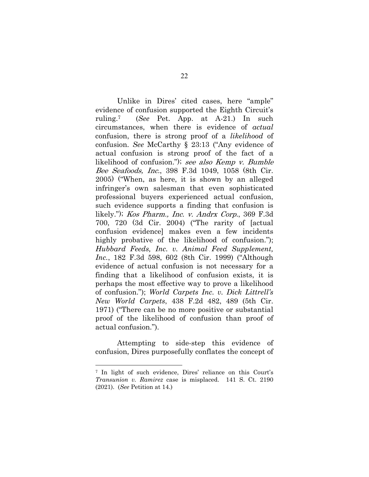Unlike in Dires' cited cases, here "ample" evidence of confusion supported the Eighth Circuit's ruling.7 (*See* Pet. App. at A-21.) In such circumstances, when there is evidence of *actual* confusion, there is strong proof of a *likelihood* of confusion. *See* McCarthy § 23:13 ("Any evidence of actual confusion is strong proof of the fact of a likelihood of confusion."); see also Kemp v. Bumble Bee Seafoods, Inc., 398 F.3d 1049, 1058 (8th Cir. 2005) ("When, as here, it is shown by an alleged infringer's own salesman that even sophisticated professional buyers experienced actual confusion, such evidence supports a finding that confusion is likely."); Kos Pharm., Inc. v. Andrx Corp., 369 F.3d 700, 720 (3d Cir. 2004) ("The rarity of [actual confusion evidence] makes even a few incidents highly probative of the likelihood of confusion."); *Hubbard Feeds, Inc. v. Animal Feed Supplement, Inc.*, 182 F.3d 598, 602 (8th Cir. 1999) ("Although evidence of actual confusion is not necessary for a finding that a likelihood of confusion exists, it is perhaps the most effective way to prove a likelihood of confusion."); *World Carpets Inc. v. Dick Littrell's New World Carpets*, 438 F.2d 482, 489 (5th Cir. 1971) ("There can be no more positive or substantial proof of the likelihood of confusion than proof of actual confusion.").

Attempting to side-step this evidence of confusion, Dires purposefully conflates the concept of

<sup>7</sup> In light of such evidence, Dires' reliance on this Court's *Transunion v. Ramirez* case is misplaced. 141 S. Ct. 2190 (2021). (*See* Petition at 14.)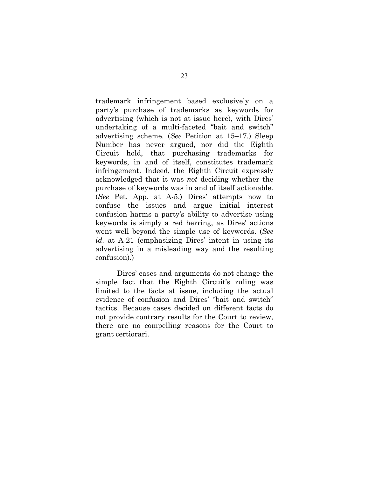trademark infringement based exclusively on a party's purchase of trademarks as keywords for advertising (which is not at issue here), with Dires' undertaking of a multi-faceted "bait and switch" advertising scheme. (*See* Petition at 15–17.) Sleep Number has never argued, nor did the Eighth Circuit hold, that purchasing trademarks for keywords, in and of itself, constitutes trademark infringement. Indeed, the Eighth Circuit expressly acknowledged that it was *not* deciding whether the purchase of keywords was in and of itself actionable. (*See* Pet. App. at A-5.) Dires' attempts now to confuse the issues and argue initial interest confusion harms a party's ability to advertise using keywords is simply a red herring, as Dires' actions went well beyond the simple use of keywords. (*See id.* at A-21 (emphasizing Dires' intent in using its advertising in a misleading way and the resulting confusion).)

Dires' cases and arguments do not change the simple fact that the Eighth Circuit's ruling was limited to the facts at issue, including the actual evidence of confusion and Dires' "bait and switch" tactics. Because cases decided on different facts do not provide contrary results for the Court to review, there are no compelling reasons for the Court to grant certiorari.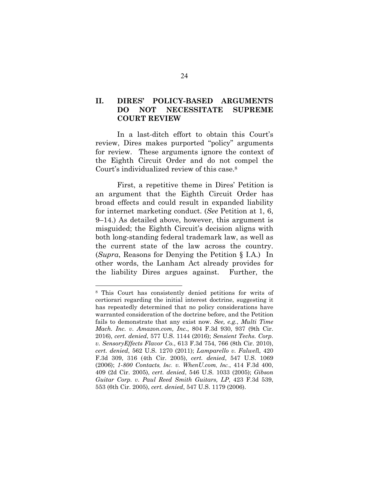## **II. DIRES' POLICY-BASED ARGUMENTS DO NOT NECESSITATE SUPREME COURT REVIEW**

In a last-ditch effort to obtain this Court's review, Dires makes purported "policy" arguments for review. These arguments ignore the context of the Eighth Circuit Order and do not compel the Court's individualized review of this case.8

First, a repetitive theme in Dires' Petition is an argument that the Eighth Circuit Order has broad effects and could result in expanded liability for internet marketing conduct. (*See* Petition at 1, 6, 9–14.) As detailed above, however, this argument is misguided; the Eighth Circuit's decision aligns with both long-standing federal trademark law, as well as the current state of the law across the country. (*Supra*, Reasons for Denying the Petition § I.A.) In other words, the Lanham Act already provides for the liability Dires argues against. Further, the

<sup>8</sup> This Court has consistently denied petitions for writs of certiorari regarding the initial interest doctrine, suggesting it has repeatedly determined that no policy considerations have warranted consideration of the doctrine before, and the Petition fails to demonstrate that any exist now. *See, e.g.*, *Multi Time Mach. Inc. v. Amazon.com, Inc.*, 804 F.3d 930, 937 (9th Cir. 2016), *cert. denied*, 577 U.S. 1144 (2016); *Sensient Techs. Corp. v. SensoryEffects Flavor Co.*, 613 F.3d 754, 766 (8th Cir. 2010), *cert. denied*, 562 U.S. 1270 (2011); *Lamparello v. Falwel*l, 420 F.3d 309, 316 (4th Cir. 2005), *cert. denied*, 547 U.S. 1069 (2006); *1-800 Contacts, Inc. v. WhenU.com, Inc.*, 414 F.3d 400, 409 (2d Cir. 2005), *cert. denied*, 546 U.S. 1033 (2005); *Gibson Guitar Corp. v. Paul Reed Smith Guitars, LP*, 423 F.3d 539, 553 (6th Cir. 2005), *cert. denied*, 547 U.S. 1179 (2006).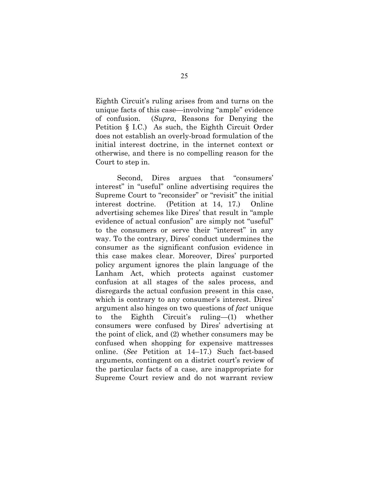Eighth Circuit's ruling arises from and turns on the unique facts of this case—involving "ample" evidence of confusion. (*Supra*, Reasons for Denying the Petition § I.C.) As such, the Eighth Circuit Order does not establish an overly-broad formulation of the initial interest doctrine, in the internet context or otherwise, and there is no compelling reason for the Court to step in.

Second, Dires argues that "consumers' interest" in "useful" online advertising requires the Supreme Court to "reconsider" or "revisit" the initial interest doctrine. (Petition at 14, 17.) Online advertising schemes like Dires' that result in "ample evidence of actual confusion" are simply not "useful" to the consumers or serve their "interest" in any way. To the contrary, Dires' conduct undermines the consumer as the significant confusion evidence in this case makes clear. Moreover, Dires' purported policy argument ignores the plain language of the Lanham Act, which protects against customer confusion at all stages of the sales process, and disregards the actual confusion present in this case, which is contrary to any consumer's interest. Dires' argument also hinges on two questions of *fact* unique to the Eighth Circuit's ruling—(1) whether consumers were confused by Dires' advertising at the point of click, and (2) whether consumers may be confused when shopping for expensive mattresses online. (*See* Petition at 14–17.) Such fact-based arguments, contingent on a district court's review of the particular facts of a case, are inappropriate for Supreme Court review and do not warrant review